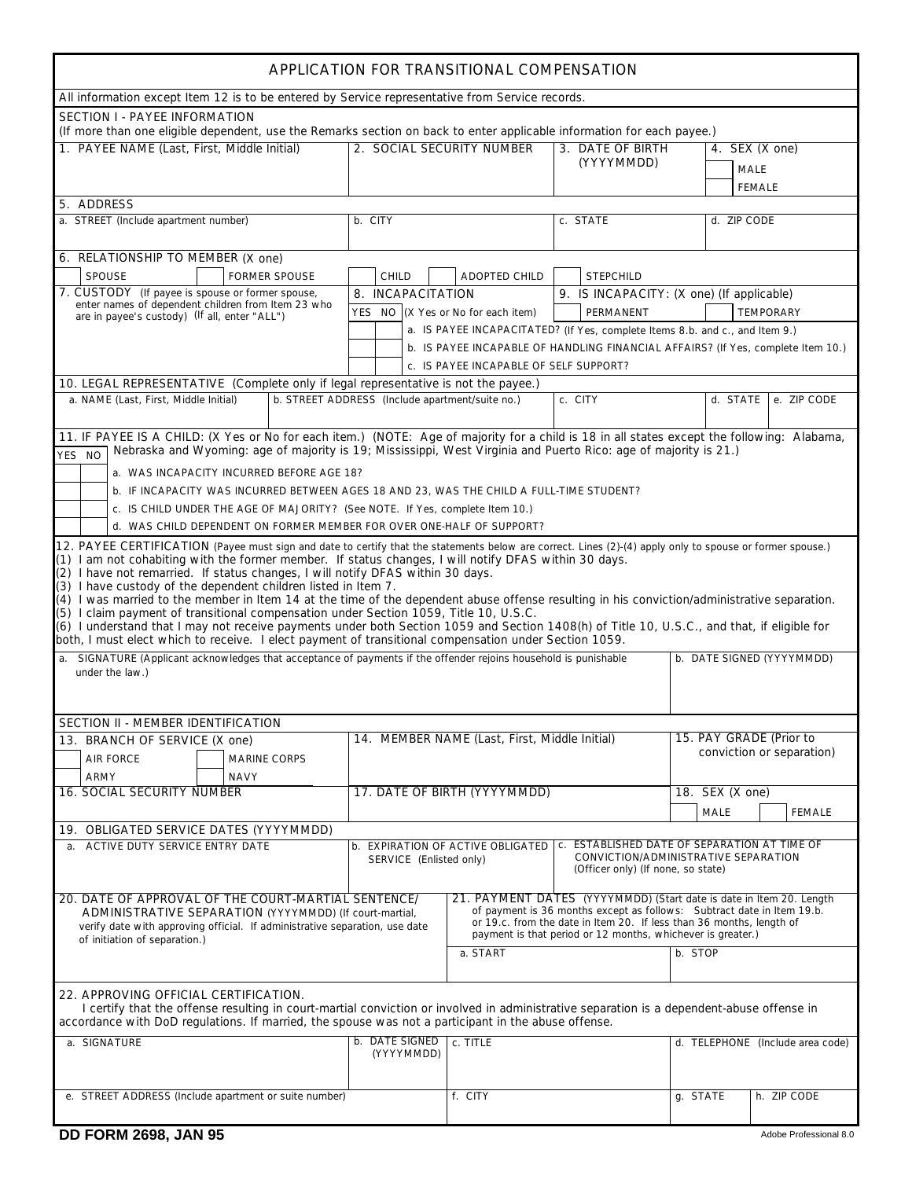| APPLICATION FOR TRANSITIONAL COMPENSATION                                                                                                                                                                                                                                                                                                                                                                                                                                                                                                                               |                                                 |                                               |                                                                                                                            |                                                                                                                                                                                                                                                                                      |                                                          |  |  |
|-------------------------------------------------------------------------------------------------------------------------------------------------------------------------------------------------------------------------------------------------------------------------------------------------------------------------------------------------------------------------------------------------------------------------------------------------------------------------------------------------------------------------------------------------------------------------|-------------------------------------------------|-----------------------------------------------|----------------------------------------------------------------------------------------------------------------------------|--------------------------------------------------------------------------------------------------------------------------------------------------------------------------------------------------------------------------------------------------------------------------------------|----------------------------------------------------------|--|--|
| All information except Item 12 is to be entered by Service representative from Service records.                                                                                                                                                                                                                                                                                                                                                                                                                                                                         |                                                 |                                               |                                                                                                                            |                                                                                                                                                                                                                                                                                      |                                                          |  |  |
| <b>SECTION I - PAYEE INFORMATION</b><br>(If more than one eligible dependent, use the Remarks section on back to enter applicable information for each payee.)                                                                                                                                                                                                                                                                                                                                                                                                          |                                                 |                                               |                                                                                                                            |                                                                                                                                                                                                                                                                                      |                                                          |  |  |
| 1. PAYEE NAME (Last, First, Middle Initial)                                                                                                                                                                                                                                                                                                                                                                                                                                                                                                                             |                                                 | 2. SOCIAL SECURITY NUMBER                     |                                                                                                                            | 3. DATE OF BIRTH                                                                                                                                                                                                                                                                     | 4. SEX $(X \text{ one})$<br><b>MALE</b><br><b>FEMALE</b> |  |  |
| 5. ADDRESS                                                                                                                                                                                                                                                                                                                                                                                                                                                                                                                                                              |                                                 |                                               |                                                                                                                            |                                                                                                                                                                                                                                                                                      |                                                          |  |  |
| a. STREET (Include apartment number)                                                                                                                                                                                                                                                                                                                                                                                                                                                                                                                                    | b. CITY                                         |                                               | c. STATE                                                                                                                   | d. ZIP CODE                                                                                                                                                                                                                                                                          |                                                          |  |  |
| 6. RELATIONSHIP TO MEMBER (X one)<br><b>SPOUSE</b><br><b>FORMER SPOUSE</b><br><b>ADOPTED CHILD</b><br><b>STEPCHILD</b><br><b>CHILD</b>                                                                                                                                                                                                                                                                                                                                                                                                                                  |                                                 |                                               |                                                                                                                            |                                                                                                                                                                                                                                                                                      |                                                          |  |  |
| 7. CUSTODY (If payee is spouse or former spouse,                                                                                                                                                                                                                                                                                                                                                                                                                                                                                                                        | 8. INCAPACITATION                               |                                               |                                                                                                                            | 9. IS INCAPACITY: (X one) (If applicable)                                                                                                                                                                                                                                            |                                                          |  |  |
| enter names of dependent children from Item 23 who<br>are in payee's custody) (If all, enter "ALL")                                                                                                                                                                                                                                                                                                                                                                                                                                                                     | <b>YES</b> NO $(X$ Yes or No for each item)     |                                               | PERMANENT                                                                                                                  |                                                                                                                                                                                                                                                                                      | <b>TEMPORARY</b>                                         |  |  |
|                                                                                                                                                                                                                                                                                                                                                                                                                                                                                                                                                                         |                                                 |                                               | a. IS PAYEE INCAPACITATED? (If Yes, complete Items 8.b. and c., and Item 9.)                                               |                                                                                                                                                                                                                                                                                      |                                                          |  |  |
|                                                                                                                                                                                                                                                                                                                                                                                                                                                                                                                                                                         |                                                 |                                               | b. IS PAYEE INCAPABLE OF HANDLING FINANCIAL AFFAIRS? (If Yes, complete Item 10.)                                           |                                                                                                                                                                                                                                                                                      |                                                          |  |  |
|                                                                                                                                                                                                                                                                                                                                                                                                                                                                                                                                                                         |                                                 | c. IS PAYEE INCAPABLE OF SELF SUPPORT?        |                                                                                                                            |                                                                                                                                                                                                                                                                                      |                                                          |  |  |
| 10. LEGAL REPRESENTATIVE (Complete only if legal representative is not the payee.)                                                                                                                                                                                                                                                                                                                                                                                                                                                                                      |                                                 |                                               |                                                                                                                            |                                                                                                                                                                                                                                                                                      |                                                          |  |  |
| a. NAME (Last, First, Middle Initial)                                                                                                                                                                                                                                                                                                                                                                                                                                                                                                                                   | b. STREET ADDRESS (Include apartment/suite no.) |                                               | c. CITY                                                                                                                    | d. STATE                                                                                                                                                                                                                                                                             | e. ZIP CODE                                              |  |  |
| 11. IF PAYEE IS A CHILD: (X Yes or No for each item.) (NOTE: Age of majority for a child is 18 in all states except the following: Alabama,<br>Nebraska and Wyoming: age of majority is 19; Mississippi, West Virginia and Puerto Rico: age of majority is 21.)<br>YES NO                                                                                                                                                                                                                                                                                               |                                                 |                                               |                                                                                                                            |                                                                                                                                                                                                                                                                                      |                                                          |  |  |
| a. WAS INCAPACITY INCURRED BEFORE AGE 18?                                                                                                                                                                                                                                                                                                                                                                                                                                                                                                                               |                                                 |                                               |                                                                                                                            |                                                                                                                                                                                                                                                                                      |                                                          |  |  |
| b. IF INCAPACITY WAS INCURRED BETWEEN AGES 18 AND 23, WAS THE CHILD A FULL-TIME STUDENT?                                                                                                                                                                                                                                                                                                                                                                                                                                                                                |                                                 |                                               |                                                                                                                            |                                                                                                                                                                                                                                                                                      |                                                          |  |  |
| c. IS CHILD UNDER THE AGE OF MAJORITY? (See NOTE. If Yes, complete Item 10.)                                                                                                                                                                                                                                                                                                                                                                                                                                                                                            |                                                 |                                               |                                                                                                                            |                                                                                                                                                                                                                                                                                      |                                                          |  |  |
| d. WAS CHILD DEPENDENT ON FORMER MEMBER FOR OVER ONE-HALF OF SUPPORT?                                                                                                                                                                                                                                                                                                                                                                                                                                                                                                   |                                                 |                                               |                                                                                                                            |                                                                                                                                                                                                                                                                                      |                                                          |  |  |
| 12. PAYEE CERTIFICATION (Payee must sign and date to certify that the statements below are correct. Lines (2)-(4) apply only to spouse or former spouse.)<br>(1) I am not cohabiting with the former member. If status changes, I will notify DFAS within 30 days.<br>(2) I have not remarried. If status changes, I will notify DFAS within 30 days.<br>(3) I have custody of the dependent children listed in Item 7.<br>(4) I was married to the member in Item 14 at the time of the dependent abuse offense resulting in his conviction/administrative separation. |                                                 |                                               |                                                                                                                            |                                                                                                                                                                                                                                                                                      |                                                          |  |  |
| (5) I claim payment of transitional compensation under Section 1059, Title 10, U.S.C.                                                                                                                                                                                                                                                                                                                                                                                                                                                                                   |                                                 |                                               |                                                                                                                            |                                                                                                                                                                                                                                                                                      |                                                          |  |  |
| (6) I understand that I may not receive payments under both Section 1059 and Section 1408(h) of Title 10, U.S.C., and that, if eligible for                                                                                                                                                                                                                                                                                                                                                                                                                             |                                                 |                                               |                                                                                                                            |                                                                                                                                                                                                                                                                                      |                                                          |  |  |
| both, I must elect which to receive. I elect payment of transitional compensation under Section 1059.<br>a. SIGNATURE (Applicant acknowledges that acceptance of payments if the offender rejoins household is punishable                                                                                                                                                                                                                                                                                                                                               |                                                 |                                               |                                                                                                                            |                                                                                                                                                                                                                                                                                      | b. DATE SIGNED (YYYYMMDD)                                |  |  |
| under the law.)                                                                                                                                                                                                                                                                                                                                                                                                                                                                                                                                                         |                                                 |                                               |                                                                                                                            |                                                                                                                                                                                                                                                                                      |                                                          |  |  |
| SECTION II - MEMBER IDENTIFICATION                                                                                                                                                                                                                                                                                                                                                                                                                                                                                                                                      |                                                 |                                               |                                                                                                                            |                                                                                                                                                                                                                                                                                      |                                                          |  |  |
| 13. BRANCH OF SERVICE (X one)                                                                                                                                                                                                                                                                                                                                                                                                                                                                                                                                           |                                                 | 14. MEMBER NAME (Last, First, Middle Initial) |                                                                                                                            | 15. PAY GRADE (Prior to                                                                                                                                                                                                                                                              |                                                          |  |  |
| <b>AIR FORCE</b><br><b>MARINE CORPS</b><br><b>NAVY</b><br><b>ARMY</b>                                                                                                                                                                                                                                                                                                                                                                                                                                                                                                   |                                                 | conviction or separation)                     |                                                                                                                            |                                                                                                                                                                                                                                                                                      |                                                          |  |  |
| <b>16. SOCIAL SECURITY NUMBER</b>                                                                                                                                                                                                                                                                                                                                                                                                                                                                                                                                       |                                                 | 17. DATE OF BIRTH (YYYYMMDD)                  |                                                                                                                            | 18. SEX (X one)                                                                                                                                                                                                                                                                      |                                                          |  |  |
|                                                                                                                                                                                                                                                                                                                                                                                                                                                                                                                                                                         |                                                 |                                               |                                                                                                                            | <b>MALE</b>                                                                                                                                                                                                                                                                          | <b>FEMALE</b>                                            |  |  |
| 19. OBLIGATED SERVICE DATES (YYYYMMDD)                                                                                                                                                                                                                                                                                                                                                                                                                                                                                                                                  |                                                 |                                               |                                                                                                                            |                                                                                                                                                                                                                                                                                      |                                                          |  |  |
| a. ACTIVE DUTY SERVICE ENTRY DATE                                                                                                                                                                                                                                                                                                                                                                                                                                                                                                                                       | <b>SERVICE</b> (Enlisted only)                  | <b>b. EXPIRATION OF ACTIVE OBLIGATED</b>      | c. ESTABLISHED DATE OF SEPARATION AT TIME OF<br>CONVICTION/ADMINISTRATIVE SEPARATION<br>(Officer only) (If none, so state) |                                                                                                                                                                                                                                                                                      |                                                          |  |  |
| 20. DATE OF APPROVAL OF THE COURT-MARTIAL SENTENCE/<br>ADMINISTRATIVE SEPARATION (YYYYMMDD) (If court-martial,<br>verify date with approving official. If administrative separation, use date                                                                                                                                                                                                                                                                                                                                                                           |                                                 |                                               |                                                                                                                            | 21. PAYMENT DATES (YYYYMMDD) (Start date is date in Item 20. Length<br>of payment is 36 months except as follows: Subtract date in Item 19.b.<br>or 19.c. from the date in Item 20. If less than 36 months, length of<br>payment is that period or 12 months, whichever is greater.) |                                                          |  |  |
| of initiation of separation.)                                                                                                                                                                                                                                                                                                                                                                                                                                                                                                                                           |                                                 | a. START                                      | b. STOP                                                                                                                    |                                                                                                                                                                                                                                                                                      |                                                          |  |  |
|                                                                                                                                                                                                                                                                                                                                                                                                                                                                                                                                                                         |                                                 |                                               |                                                                                                                            |                                                                                                                                                                                                                                                                                      |                                                          |  |  |
| 22. APPROVING OFFICIAL CERTIFICATION.<br>I certify that the offense resulting in court-martial conviction or involved in administrative separation is a dependent-abuse offense in<br>accordance with DoD regulations. If married, the spouse was not a participant in the abuse offense.                                                                                                                                                                                                                                                                               |                                                 |                                               |                                                                                                                            |                                                                                                                                                                                                                                                                                      |                                                          |  |  |
| a. SIGNATURE                                                                                                                                                                                                                                                                                                                                                                                                                                                                                                                                                            | b. DATE SIGNED                                  | c. TITLE                                      |                                                                                                                            |                                                                                                                                                                                                                                                                                      | d. TELEPHONE (Include area code)                         |  |  |
|                                                                                                                                                                                                                                                                                                                                                                                                                                                                                                                                                                         | (YYYYMMDD)                                      |                                               |                                                                                                                            |                                                                                                                                                                                                                                                                                      |                                                          |  |  |
| e. STREET ADDRESS (Include apartment or suite number)                                                                                                                                                                                                                                                                                                                                                                                                                                                                                                                   |                                                 | f. CITY                                       |                                                                                                                            | g. STATE                                                                                                                                                                                                                                                                             | h. ZIP CODE                                              |  |  |
|                                                                                                                                                                                                                                                                                                                                                                                                                                                                                                                                                                         |                                                 |                                               |                                                                                                                            |                                                                                                                                                                                                                                                                                      |                                                          |  |  |
| <b>DD FORM 2698, JAN 95</b>                                                                                                                                                                                                                                                                                                                                                                                                                                                                                                                                             |                                                 |                                               |                                                                                                                            |                                                                                                                                                                                                                                                                                      | Adobe Professional 8.0                                   |  |  |